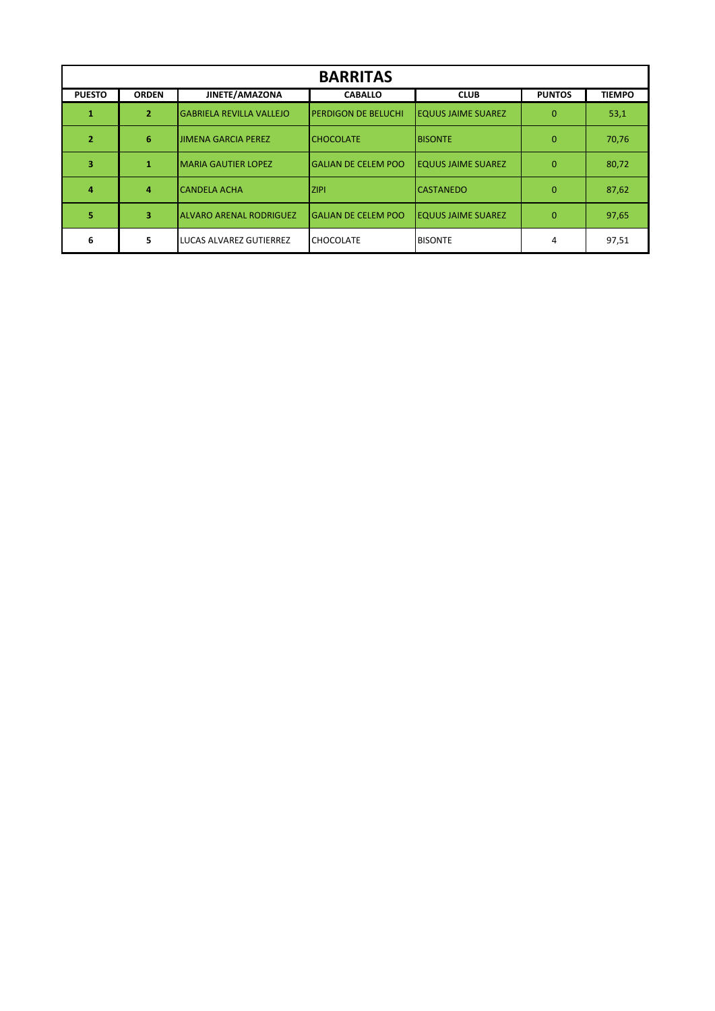| <b>BARRITAS</b> |                |                                 |                            |                           |               |               |
|-----------------|----------------|---------------------------------|----------------------------|---------------------------|---------------|---------------|
| <b>PUESTO</b>   | <b>ORDEN</b>   | JINETE/AMAZONA                  | <b>CABALLO</b>             | <b>CLUB</b>               | <b>PUNTOS</b> | <b>TIEMPO</b> |
|                 | $\overline{2}$ | <b>GABRIELA REVILLA VALLEJO</b> | <b>PERDIGON DE BELUCHI</b> | <b>EQUUS JAIME SUAREZ</b> | $\Omega$      | 53,1          |
| 2               | 6              | <b>JIMENA GARCIA PEREZ</b>      | <b>ICHOCOLATE</b>          | <b>BISONTE</b>            | $\Omega$      | 70,76         |
|                 |                | <b>MARIA GAUTIER LOPEZ</b>      | <b>GALIAN DE CELEM POO</b> | <b>EQUUS JAIME SUAREZ</b> | $\Omega$      | 80,72         |
|                 | 4              | <b>CANDELA ACHA</b>             | <b>IZIPI</b>               | <b>CASTANEDO</b>          | $\Omega$      | 87,62         |
| 5               | 3              | <b>ALVARO ARENAL RODRIGUEZ</b>  | <b>GALIAN DE CELEM POO</b> | <b>EQUUS JAIME SUAREZ</b> | $\Omega$      | 97,65         |
| 6               | 5              | LUCAS ALVAREZ GUTIERREZ         | <b>CHOCOLATE</b>           | <b>BISONTE</b>            | 4             | 97,51         |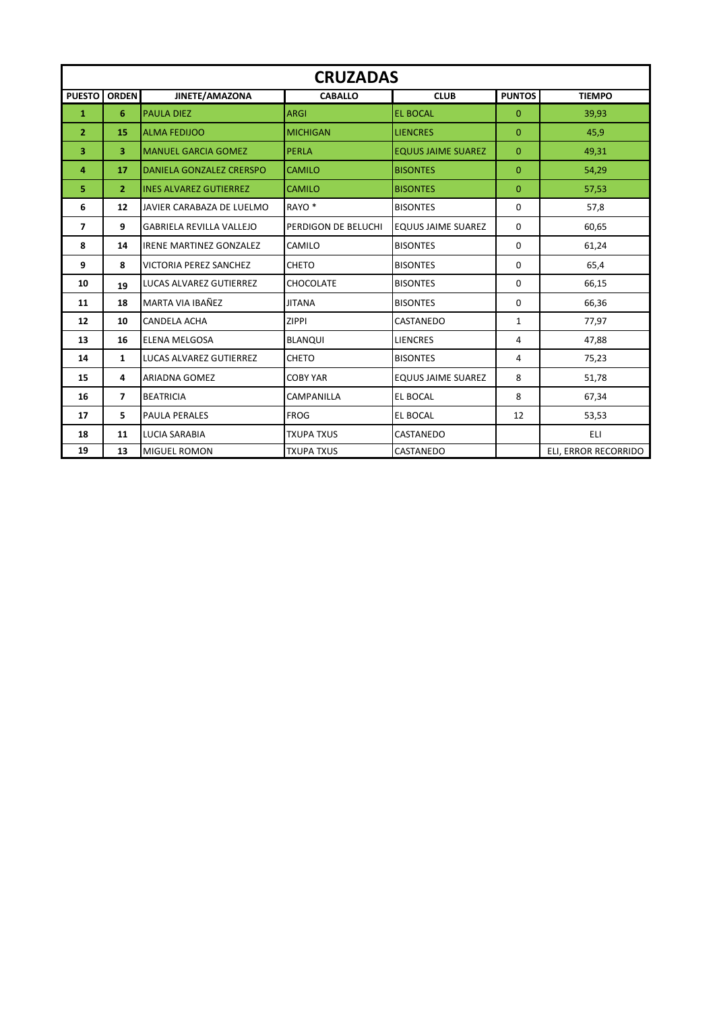|                | <b>CRUZADAS</b>         |                                 |                     |                           |                |                      |  |  |  |
|----------------|-------------------------|---------------------------------|---------------------|---------------------------|----------------|----------------------|--|--|--|
| <b>PUESTO</b>  | <b>ORDEN</b>            | JINETE/AMAZONA                  | <b>CABALLO</b>      | <b>CLUB</b>               | <b>PUNTOS</b>  | <b>TIEMPO</b>        |  |  |  |
| 1              | 6                       | <b>PAULA DIEZ</b>               | <b>ARGI</b>         | <b>EL BOCAL</b>           | $\overline{0}$ | 39,93                |  |  |  |
| $\mathbf{2}$   | 15                      | <b>ALMA FEDIJOO</b>             | <b>MICHIGAN</b>     | <b>LIENCRES</b>           | $\Omega$       | 45,9                 |  |  |  |
| 3              | $\overline{\mathbf{3}}$ | <b>MANUEL GARCIA GOMEZ</b>      | <b>PERLA</b>        | <b>EQUUS JAIME SUAREZ</b> | $\mathbf{0}$   | 49,31                |  |  |  |
| 4              | 17                      | DANIELA GONZALEZ CRERSPO        | <b>CAMILO</b>       | <b>BISONTES</b>           | $\mathbf{0}$   | 54,29                |  |  |  |
| 5              | $\overline{2}$          | <b>INES ALVAREZ GUTIERREZ</b>   | <b>CAMILO</b>       | <b>BISONTES</b>           | $\overline{0}$ | 57,53                |  |  |  |
| 6              | 12                      | JAVIER CARABAZA DE LUELMO       | RAYO <sup>*</sup>   | <b>BISONTES</b>           | $\Omega$       | 57,8                 |  |  |  |
| $\overline{ }$ | 9                       | <b>GABRIELA REVILLA VALLEJO</b> | PERDIGON DE BELUCHI | <b>EQUUS JAIME SUAREZ</b> | $\Omega$       | 60,65                |  |  |  |
| 8              | 14                      | <b>IRENE MARTINEZ GONZALEZ</b>  | CAMILO              | <b>BISONTES</b>           | 0              | 61,24                |  |  |  |
| 9              | 8                       | <b>VICTORIA PEREZ SANCHEZ</b>   | <b>CHETO</b>        | <b>BISONTES</b>           | $\Omega$       | 65,4                 |  |  |  |
| 10             | 19                      | <b>LUCAS ALVAREZ GUTIERREZ</b>  | <b>CHOCOLATE</b>    | <b>BISONTES</b>           | $\Omega$       | 66,15                |  |  |  |
| 11             | 18                      | MARTA VIA IBAÑEZ                | <b>JITANA</b>       | <b>BISONTES</b>           | 0              | 66,36                |  |  |  |
| 12             | 10                      | <b>CANDELA ACHA</b>             | <b>ZIPPI</b>        | CASTANEDO                 | $\mathbf{1}$   | 77,97                |  |  |  |
| 13             | 16                      | <b>ELENA MELGOSA</b>            | <b>BLANQUI</b>      | <b>LIENCRES</b>           | 4              | 47,88                |  |  |  |
| 14             | $\mathbf{1}$            | <b>LUCAS ALVAREZ GUTIERREZ</b>  | <b>CHETO</b>        | <b>BISONTES</b>           | 4              | 75,23                |  |  |  |
| 15             | 4                       | <b>ARIADNA GOMEZ</b>            | <b>COBY YAR</b>     | <b>EQUUS JAIME SUAREZ</b> | 8              | 51,78                |  |  |  |
| 16             | $\overline{7}$          | <b>BEATRICIA</b>                | <b>CAMPANILLA</b>   | EL BOCAL                  | 8              | 67,34                |  |  |  |
| 17             | 5.                      | <b>PAULA PERALES</b>            | <b>FROG</b>         | EL BOCAL                  | 12             | 53,53                |  |  |  |
| 18             | 11                      | <b>LUCIA SARABIA</b>            | <b>TXUPA TXUS</b>   | CASTANEDO                 |                | <b>ELI</b>           |  |  |  |
| 19             | 13                      | MIGUEL ROMON                    | <b>TXUPA TXUS</b>   | CASTANEDO                 |                | ELI, ERROR RECORRIDO |  |  |  |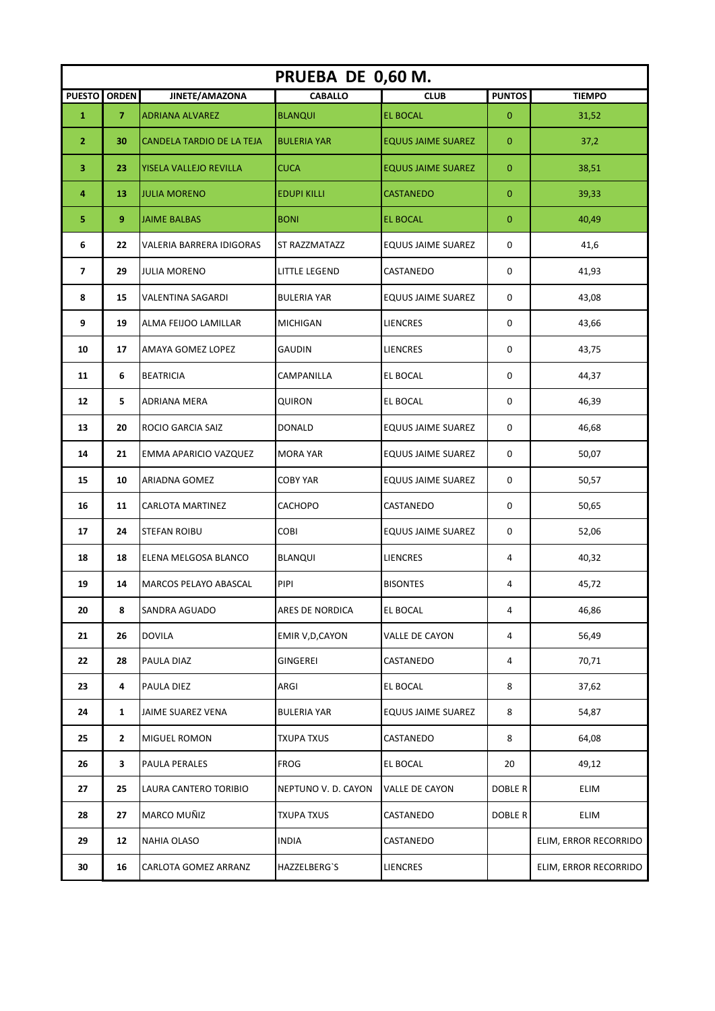|                | PRUEBA DE 0,60 M. |                           |                     |                           |                |                       |  |  |  |
|----------------|-------------------|---------------------------|---------------------|---------------------------|----------------|-----------------------|--|--|--|
| <b>PUESTO</b>  | <b>ORDEN</b>      | JINETE/AMAZONA            | <b>CABALLO</b>      | <b>CLUB</b>               | <b>PUNTOS</b>  | <b>TIEMPO</b>         |  |  |  |
| $\mathbf{1}$   | $\overline{7}$    | <b>ADRIANA ALVAREZ</b>    | <b>BLANQUI</b>      | <b>EL BOCAL</b>           | $\mathbf{0}$   | 31,52                 |  |  |  |
| $\overline{2}$ | 30                | CANDELA TARDIO DE LA TEJA | <b>BULERIA YAR</b>  | <b>EQUUS JAIME SUAREZ</b> | $\mathbf{0}$   | 37,2                  |  |  |  |
| 3              | 23                | YISELA VALLEJO REVILLA    | <b>CUCA</b>         | <b>EQUUS JAIME SUAREZ</b> | $\mathbf{0}$   | 38,51                 |  |  |  |
| 4              | 13                | <b>JULIA MORENO</b>       | <b>EDUPI KILLI</b>  | <b>CASTANEDO</b>          | $\mathbf{0}$   | 39,33                 |  |  |  |
| 5              | 9                 | <b>JAIME BALBAS</b>       | <b>BONI</b>         | <b>EL BOCAL</b>           | $\overline{0}$ | 40,49                 |  |  |  |
| 6              | 22                | VALERIA BARRERA IDIGORAS  | ST RAZZMATAZZ       | EQUUS JAIME SUAREZ        | 0              | 41,6                  |  |  |  |
| $\overline{ }$ | 29                | <b>JULIA MORENO</b>       | LITTLE LEGEND       | CASTANEDO                 | 0              | 41,93                 |  |  |  |
| 8              | 15                | <b>VALENTINA SAGARDI</b>  | <b>BULERIA YAR</b>  | <b>EQUUS JAIME SUAREZ</b> | 0              | 43,08                 |  |  |  |
| 9              | 19                | ALMA FEIJOO LAMILLAR      | <b>MICHIGAN</b>     | <b>LIENCRES</b>           | $\mathbf 0$    | 43,66                 |  |  |  |
| 10             | 17                | AMAYA GOMEZ LOPEZ         | <b>GAUDIN</b>       | <b>LIENCRES</b>           | 0              | 43,75                 |  |  |  |
| 11             | 6                 | <b>BEATRICIA</b>          | CAMPANILLA          | EL BOCAL                  | 0              | 44,37                 |  |  |  |
| 12             | 5                 | ADRIANA MERA              | QUIRON              | EL BOCAL                  | 0              | 46,39                 |  |  |  |
| 13             | 20                | ROCIO GARCIA SAIZ         | <b>DONALD</b>       | EQUUS JAIME SUAREZ        | 0              | 46,68                 |  |  |  |
| 14             | 21                | EMMA APARICIO VAZQUEZ     | <b>MORA YAR</b>     | <b>EQUUS JAIME SUAREZ</b> | 0              | 50,07                 |  |  |  |
| 15             | 10                | ARIADNA GOMEZ             | <b>COBY YAR</b>     | <b>EQUUS JAIME SUAREZ</b> | 0              | 50,57                 |  |  |  |
| 16             | 11                | CARLOTA MARTINEZ          | CACHOPO             | CASTANEDO                 | 0              | 50,65                 |  |  |  |
| 17             | 24                | <b>STEFAN ROIBU</b>       | COBI                | EQUUS JAIME SUAREZ        | 0              | 52,06                 |  |  |  |
| 18             | 18                | ELENA MELGOSA BLANCO      | BLANQUI             | LIENCRES                  | 4              | 40,32                 |  |  |  |
| 19             | 14                | MARCOS PELAYO ABASCAL     | PIPI                | <b>BISONTES</b>           | 4              | 45,72                 |  |  |  |
| 20             | 8                 | SANDRA AGUADO             | ARES DE NORDICA     | EL BOCAL                  | 4              | 46,86                 |  |  |  |
| 21             | 26                | <b>DOVILA</b>             | EMIR V, D, CAYON    | VALLE DE CAYON            | 4              | 56,49                 |  |  |  |
| 22             | 28                | PAULA DIAZ                | GINGEREI            | CASTANEDO                 | 4              | 70,71                 |  |  |  |
| 23             | 4                 | PAULA DIEZ                | ARGI                | EL BOCAL                  | 8              | 37,62                 |  |  |  |
| 24             | $\mathbf{1}$      | JAIME SUAREZ VENA         | <b>BULERIA YAR</b>  | <b>EQUUS JAIME SUAREZ</b> | 8              | 54,87                 |  |  |  |
| 25             | $\mathbf{2}$      | MIGUEL ROMON              | <b>TXUPA TXUS</b>   | CASTANEDO                 | 8              | 64,08                 |  |  |  |
| 26             | 3                 | PAULA PERALES             | <b>FROG</b>         | EL BOCAL                  | 20             | 49,12                 |  |  |  |
| 27             | 25                | LAURA CANTERO TORIBIO     | NEPTUNO V. D. CAYON | VALLE DE CAYON            | DOBLE R        | ELIM                  |  |  |  |
| 28             | 27                | MARCO MUÑIZ               | <b>TXUPA TXUS</b>   | CASTANEDO                 | DOBLE R        | ELIM                  |  |  |  |
| 29             | 12                | NAHIA OLASO               | <b>INDIA</b>        | CASTANEDO                 |                | ELIM, ERROR RECORRIDO |  |  |  |
| 30             | 16                | CARLOTA GOMEZ ARRANZ      | HAZZELBERG`S        | LIENCRES                  |                | ELIM, ERROR RECORRIDO |  |  |  |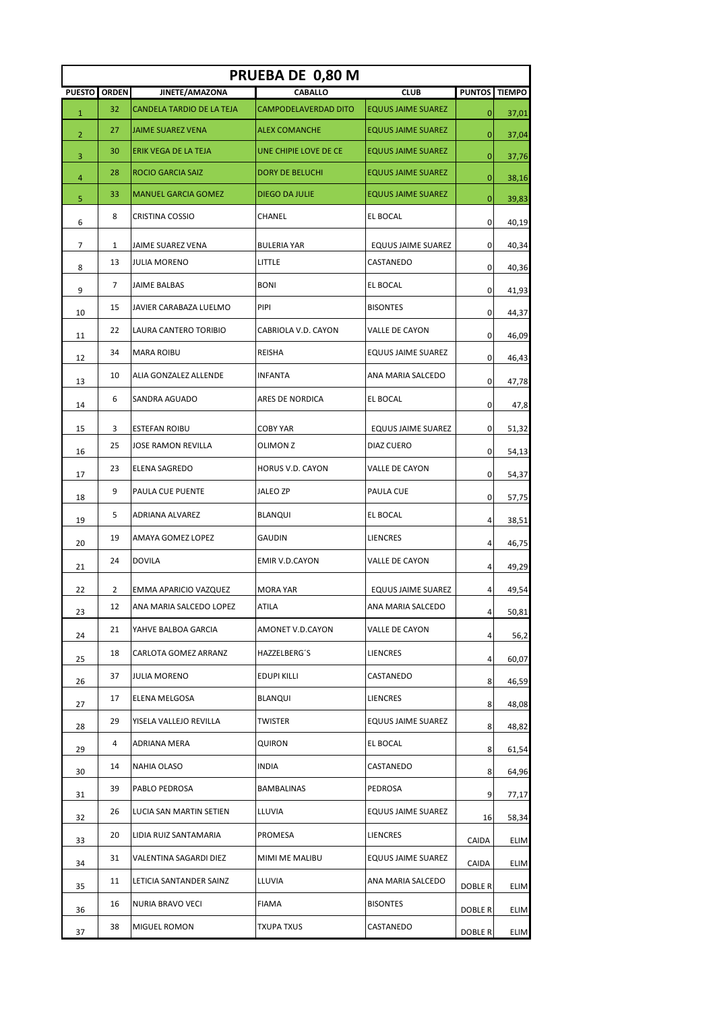| PRUEBA DE 0,80 M |                |                            |                        |                           |               |               |  |  |
|------------------|----------------|----------------------------|------------------------|---------------------------|---------------|---------------|--|--|
| <b>PUESTO</b>    | <b>ORDEN</b>   | JINETE/AMAZONA             | <b>CABALLO</b>         | <b>CLUB</b>               | <b>PUNTOS</b> | <b>TIEMPO</b> |  |  |
| $\mathbf{1}$     | 32             | CANDELA TARDIO DE LA TEJA  | CAMPODELAVERDAD DITO   | <b>EQUUS JAIME SUAREZ</b> | $\mathbf{0}$  | 37,01         |  |  |
| 2                | 27             | <b>JAIME SUAREZ VENA</b>   | <b>ALEX COMANCHE</b>   | <b>EQUUS JAIME SUAREZ</b> | 0             | 37,04         |  |  |
| 3                | 30             | ERIK VEGA DE LA TEJA       | UNE CHIPIE LOVE DE CE  | <b>EQUUS JAIME SUAREZ</b> | 0             | 37,76         |  |  |
| 4                | 28             | <b>ROCIO GARCIA SAIZ</b>   | <b>DORY DE BELUCHI</b> | <b>EQUUS JAIME SUAREZ</b> | 0             | 38,16         |  |  |
| 5                | 33             | <b>MANUEL GARCIA GOMEZ</b> | <b>DIEGO DA JULIE</b>  | <b>EQUUS JAIME SUAREZ</b> | 0             | 39,83         |  |  |
| 6                | 8              | CRISTINA COSSIO            | CHANEL                 | EL BOCAL                  | 0             | 40,19         |  |  |
| 7                | 1              | JAIME SUAREZ VENA          | <b>BULERIA YAR</b>     | <b>EQUUS JAIME SUAREZ</b> | 0             | 40,34         |  |  |
| 8                | 13             | <b>JULIA MORENO</b>        | LITTLE                 | CASTANEDO                 | 0             | 40,36         |  |  |
| 9                | $\overline{7}$ | <b>JAIME BALBAS</b>        | <b>BONI</b>            | EL BOCAL                  | 0             | 41,93         |  |  |
| 10               | 15             | JAVIER CARABAZA LUELMO     | PIPI                   | <b>BISONTES</b>           | 0             | 44,37         |  |  |
| 11               | 22             | LAURA CANTERO TORIBIO      | CABRIOLA V.D. CAYON    | VALLE DE CAYON            | 0             | 46,09         |  |  |
| 12               | 34             | <b>MARA ROIBU</b>          | <b>REISHA</b>          | EQUUS JAIME SUAREZ        | 0             | 46,43         |  |  |
| 13               | 10             | ALIA GONZALEZ ALLENDE      | <b>INFANTA</b>         | ANA MARIA SALCEDO         | 0             | 47,78         |  |  |
| 14               | 6              | SANDRA AGUADO              | ARES DE NORDICA        | EL BOCAL                  | 0             | 47,8          |  |  |
| 15               | 3              | <b>ESTEFAN ROIBU</b>       | <b>COBY YAR</b>        | <b>EQUUS JAIME SUAREZ</b> | 0             | 51,32         |  |  |
| 16               | 25             | <b>JOSE RAMON REVILLA</b>  | OLIMON Z               | DIAZ CUERO                | 0             | 54,13         |  |  |
| 17               | 23             | ELENA SAGREDO              | HORUS V.D. CAYON       | VALLE DE CAYON            | 0             | 54,37         |  |  |
| 18               | 9              | PAULA CUE PUENTE           | <b>JALEO ZP</b>        | PAULA CUE                 | 0             | 57,75         |  |  |
| 19               | 5              | ADRIANA ALVAREZ            | <b>BLANQUI</b>         | EL BOCAL                  | 4             | 38,51         |  |  |
| 20               | 19             | AMAYA GOMEZ LOPEZ          | GAUDIN                 | <b>LIENCRES</b>           | 4             | 46,75         |  |  |
| 21               | 24             | <b>DOVILA</b>              | EMIR V.D.CAYON         | VALLE DE CAYON            | 4             | 49,29         |  |  |
| 22               | 2              | EMMA APARICIO VAZQUEZ      | <b>MORA YAR</b>        | <b>EQUUS JAIME SUAREZ</b> | 4             | 49,54         |  |  |
| 23               | 12             | ANA MARIA SALCEDO LOPEZ    | ATILA                  | ANA MARIA SALCEDO         | 4             | 50,81         |  |  |
| 24               | 21             | YAHVE BALBOA GARCIA        | AMONET V.D.CAYON       | VALLE DE CAYON            | 4             | 56,2          |  |  |
| 25               | 18             | CARLOTA GOMEZ ARRANZ       | HAZZELBERG'S           | LIENCRES                  | 4             | 60,07         |  |  |
| 26               | 37             | JULIA MORENO               | EDUPI KILLI            | CASTANEDO                 | 8             | 46,59         |  |  |
| 27               | 17             | ELENA MELGOSA              | BLANQUI                | LIENCRES                  | 8             | 48,08         |  |  |
| 28               | 29             | YISELA VALLEJO REVILLA     | TWISTER                | EQUUS JAIME SUAREZ        | 8             | 48,82         |  |  |
| 29               | 4              | ADRIANA MERA               | QUIRON                 | EL BOCAL                  | 8             | 61,54         |  |  |
| 30               | 14             | NAHIA OLASO                | <b>INDIA</b>           | CASTANEDO                 | 8             | 64,96         |  |  |
| 31               | 39             | PABLO PEDROSA              | BAMBALINAS             | PEDROSA                   | 9             | 77,17         |  |  |
| 32               | 26             | LUCIA SAN MARTIN SETIEN    | LLUVIA                 | EQUUS JAIME SUAREZ        | 16            | 58,34         |  |  |
| 33               | 20             | LIDIA RUIZ SANTAMARIA      | PROMESA                | LIENCRES                  | CAIDA         | <b>ELIM</b>   |  |  |
| 34               | 31             | VALENTINA SAGARDI DIEZ     | MIMI ME MALIBU         | EQUUS JAIME SUAREZ        | CAIDA         | ELIM          |  |  |
| 35               | 11             | LETICIA SANTANDER SAINZ    | LLUVIA                 | ANA MARIA SALCEDO         | DOBLE R       | <b>ELIM</b>   |  |  |
| 36               | 16             | NURIA BRAVO VECI           | FIAMA                  | <b>BISONTES</b>           | DOBLE R       | ELIM          |  |  |
| 37               | 38             | MIGUEL ROMON               | TXUPA TXUS             | CASTANEDO                 | DOBLE R       | <b>ELIM</b>   |  |  |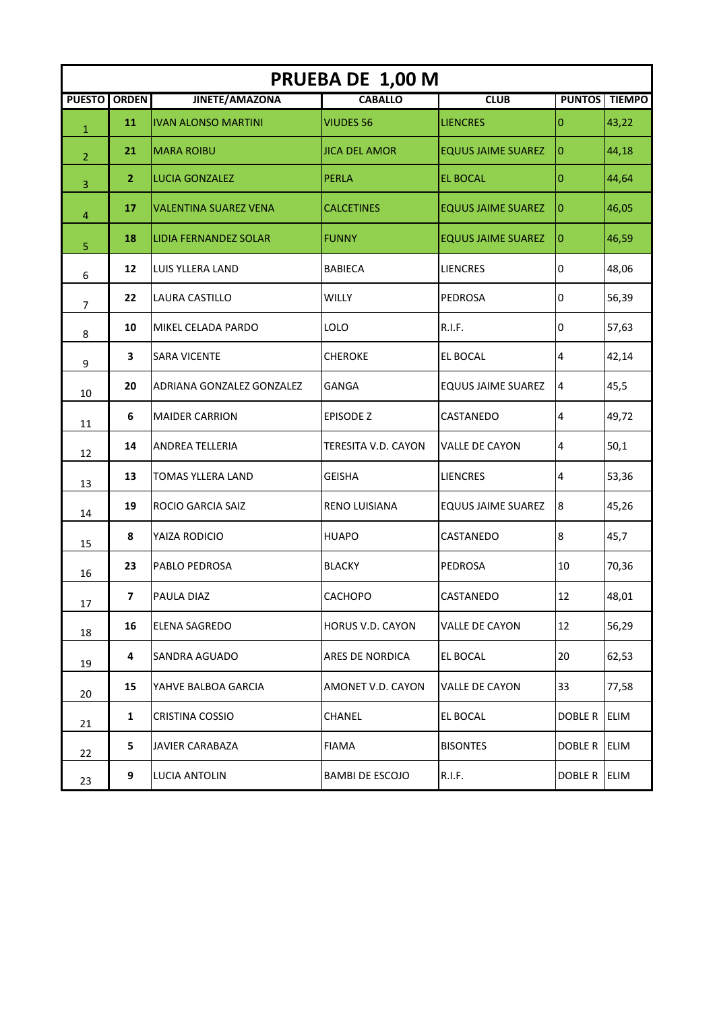|                | PRUEBA DE 1,00 M        |                              |                         |                           |                |               |  |  |  |
|----------------|-------------------------|------------------------------|-------------------------|---------------------------|----------------|---------------|--|--|--|
| <b>PUESTO</b>  | <b>ORDEN</b>            | JINETE/AMAZONA               | <b>CABALLO</b>          | <b>CLUB</b>               | <b>PUNTOS</b>  | <b>TIEMPO</b> |  |  |  |
| $\mathbf{1}$   | 11                      | <b>IVAN ALONSO MARTINI</b>   | <b>VIUDES 56</b>        | <b>LIENCRES</b>           | 0              | 43,22         |  |  |  |
| $\overline{2}$ | 21                      | <b>MARA ROIBU</b>            | <b>JICA DEL AMOR</b>    | <b>EQUUS JAIME SUAREZ</b> | $\overline{0}$ | 44,18         |  |  |  |
| 3              | $\overline{2}$          | <b>LUCIA GONZALEZ</b>        | <b>PERLA</b>            | <b>EL BOCAL</b>           | 0              | 44,64         |  |  |  |
| 4              | 17                      | <b>VALENTINA SUAREZ VENA</b> | <b>CALCETINES</b>       | <b>EQUUS JAIME SUAREZ</b> | 10             | 46,05         |  |  |  |
| 5              | 18                      | LIDIA FERNANDEZ SOLAR        | <b>FUNNY</b>            | <b>EQUUS JAIME SUAREZ</b> | 10             | 46,59         |  |  |  |
| 6              | 12                      | LUIS YLLERA LAND             | <b>BABIECA</b>          | <b>LIENCRES</b>           | 0              | 48,06         |  |  |  |
| 7              | 22                      | LAURA CASTILLO               | WILLY                   | PEDROSA                   | 0              | 56,39         |  |  |  |
| 8              | 10                      | MIKEL CELADA PARDO           | LOLO                    | R.I.F.                    | 0              | 57,63         |  |  |  |
| 9              | $\overline{\mathbf{3}}$ | <b>SARA VICENTE</b>          | <b>CHEROKE</b>          | EL BOCAL                  | 4              | 42,14         |  |  |  |
| 10             | 20                      | ADRIANA GONZALEZ GONZALEZ    | GANGA                   | <b>EQUUS JAIME SUAREZ</b> | 4              | 45,5          |  |  |  |
| 11             | 6                       | <b>MAIDER CARRION</b>        | <b>EPISODE Z</b>        | CASTANEDO                 | 4              | 49,72         |  |  |  |
| 12             | 14                      | ANDREA TELLERIA              | TERESITA V.D. CAYON     | VALLE DE CAYON            | 4              | 50,1          |  |  |  |
| 13             | 13                      | <b>TOMAS YLLERA LAND</b>     | <b>GEISHA</b>           | <b>LIENCRES</b>           | 4              | 53,36         |  |  |  |
| 14             | 19                      | ROCIO GARCIA SAIZ            | RENO LUISIANA           | <b>EQUUS JAIME SUAREZ</b> | 8              | 45,26         |  |  |  |
| 15             | 8                       | YAIZA RODICIO                | <b>HUAPO</b>            | CASTANEDO                 | 8              | 45,7          |  |  |  |
| 16             | 23                      | PABLO PEDROSA                | <b>BLACKY</b>           | PEDROSA                   | 10             | 70,36         |  |  |  |
| 17             | 7                       | PAULA DIAZ                   | <b>CACHOPO</b>          | CASTANEDO                 | 12             | 48,01         |  |  |  |
| 18             | 16                      | ELENA SAGREDO                | <b>HORUS V.D. CAYON</b> | <b>VALLE DE CAYON</b>     | 12             | 56,29         |  |  |  |
| 19             | 4                       | SANDRA AGUADO                | ARES DE NORDICA         | <b>EL BOCAL</b>           | 20             | 62,53         |  |  |  |
| 20             | 15                      | YAHVE BALBOA GARCIA          | AMONET V.D. CAYON       | VALLE DE CAYON            | 33             | 77,58         |  |  |  |
| 21             | $\mathbf{1}$            | <b>CRISTINA COSSIO</b>       | <b>CHANEL</b>           | EL BOCAL                  | DOBLE R        | <b>ELIM</b>   |  |  |  |
| 22             | 5                       | <b>JAVIER CARABAZA</b>       | FIAMA                   | <b>BISONTES</b>           | DOBLE R        | <b>ELIM</b>   |  |  |  |
| 23             | 9                       | LUCIA ANTOLIN                | BAMBI DE ESCOJO         | R.I.F.                    | DOBLE R        | <b>ELIM</b>   |  |  |  |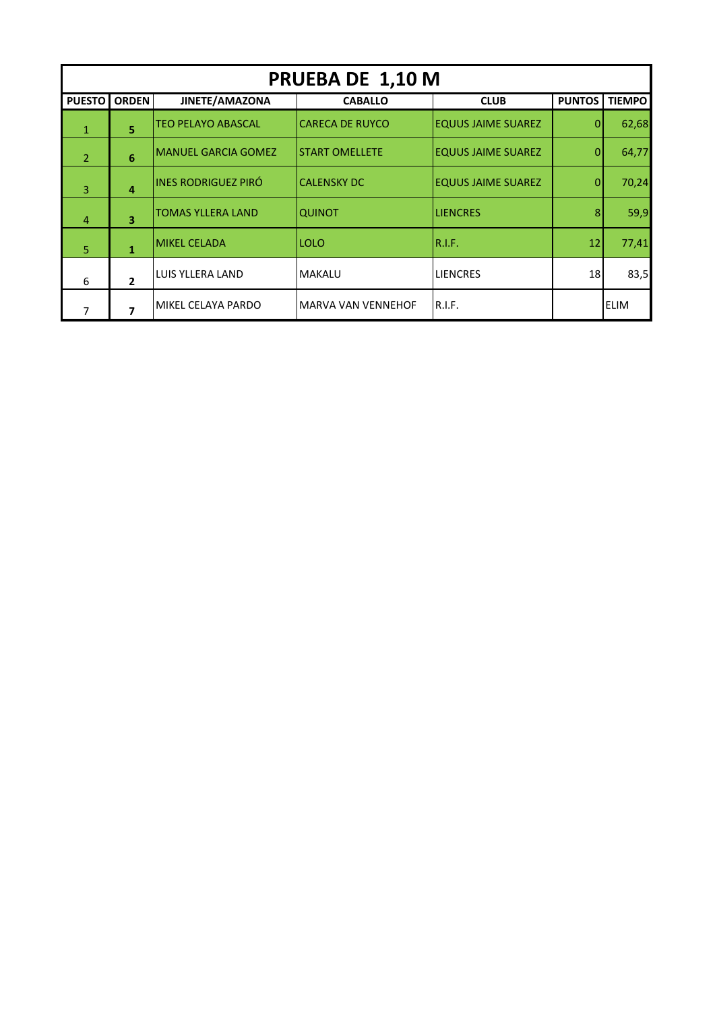|                | PRUEBA DE 1,10 M        |                            |                           |                           |               |               |  |  |  |
|----------------|-------------------------|----------------------------|---------------------------|---------------------------|---------------|---------------|--|--|--|
| <b>PUESTO</b>  | <b>ORDEN</b>            | JINETE/AMAZONA             | <b>CABALLO</b>            | <b>CLUB</b>               | <b>PUNTOS</b> | <b>TIEMPO</b> |  |  |  |
| 1              | 5                       | <b>TEO PELAYO ABASCAL</b>  | <b>CARECA DE RUYCO</b>    | <b>EQUUS JAIME SUAREZ</b> | $\Omega$      | 62,68         |  |  |  |
| $\overline{2}$ | 6                       | <b>MANUEL GARCIA GOMEZ</b> | <b>START OMELLETE</b>     | <b>EQUUS JAIME SUAREZ</b> | $\Omega$      | 64,77         |  |  |  |
| 3              | 4                       | <b>INES RODRIGUEZ PIRÓ</b> | <b>CALENSKY DC</b>        | <b>EQUUS JAIME SUAREZ</b> | $\Omega$      | 70,24         |  |  |  |
| $\overline{4}$ | $\overline{\mathbf{3}}$ | <b>TOMAS YLLERA LAND</b>   | <b>QUINOT</b>             | <b>ILIENCRES</b>          | 8             | 59,9          |  |  |  |
| 5              | $\mathbf{1}$            | <b>MIKEL CELADA</b>        | <b>LOLO</b>               | IR.I.F.                   | 12            | 77,41         |  |  |  |
| 6              | $\overline{2}$          | LUIS YLLERA LAND           | <b>MAKALU</b>             | <b>LIENCRES</b>           | 18            | 83,5          |  |  |  |
|                | $\overline{\mathbf{z}}$ | MIKEL CELAYA PARDO         | <b>MARVA VAN VENNEHOF</b> | R.I.F.                    |               | <b>ELIM</b>   |  |  |  |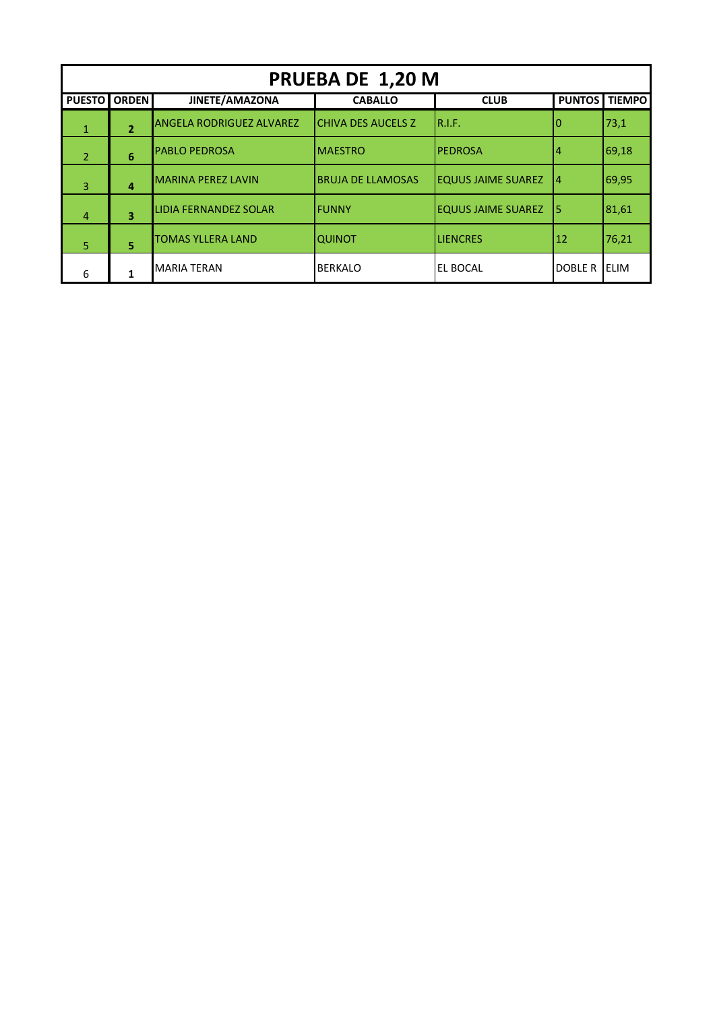| PRUEBA DE 1,20 M |                |                                 |                            |                           |                |               |  |  |
|------------------|----------------|---------------------------------|----------------------------|---------------------------|----------------|---------------|--|--|
| <b>PUESTO</b>    | <b>ORDEN</b>   | JINETE/AMAZONA                  | <b>CABALLO</b>             | <b>CLUB</b>               | <b>PUNTOS</b>  | <b>TIEMPO</b> |  |  |
| $\mathbf{1}$     | $\overline{2}$ | <b>ANGELA RODRIGUEZ ALVAREZ</b> | <b>ICHIVA DES AUCELS Z</b> | IR.I.F.                   |                | 73,1          |  |  |
| $\overline{2}$   | 6              | <b>PABLO PEDROSA</b>            | IMAESTRO                   | <b>PEDROSA</b>            | 14             | 69,18         |  |  |
| 3                | $\overline{a}$ | <b>MARINA PEREZ LAVIN</b>       | <b>BRUJA DE LLAMOSAS</b>   | <b>EQUUS JAIME SUAREZ</b> | 14             | 69,95         |  |  |
| $\overline{4}$   | 3              | LIDIA FERNANDEZ SOLAR           | lfunny                     | <b>EQUUS JAIME SUAREZ</b> | I5             | 81,61         |  |  |
| 5                | 5              | <b>TOMAS YLLERA LAND</b>        | ΙαυιΝοτ                    | <b>LIENCRES</b>           | 12             | 76,21         |  |  |
| 6                |                | <b>MARIA TERAN</b>              | <b>BERKALO</b>             | EL BOCAL                  | <b>DOBLE R</b> | <b>ELIM</b>   |  |  |